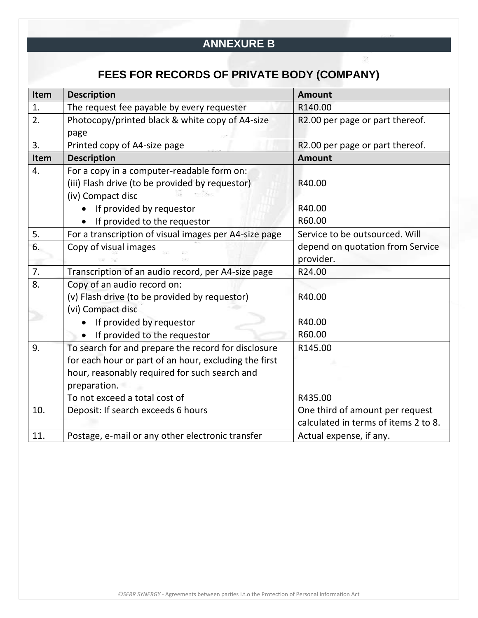## **ANNEXURE B**

## **FEES FOR RECORDS OF PRIVATE BODY (COMPANY)**

| Item | <b>Description</b>                                    | <b>Amount</b>                        |
|------|-------------------------------------------------------|--------------------------------------|
| 1.   | The request fee payable by every requester            | R140.00                              |
| 2.   | Photocopy/printed black & white copy of A4-size       | R2.00 per page or part thereof.      |
|      | page                                                  |                                      |
| 3.   | Printed copy of A4-size page                          | R2.00 per page or part thereof.      |
| Item | <b>Description</b>                                    | <b>Amount</b>                        |
| 4.   | For a copy in a computer-readable form on:            |                                      |
|      | (iii) Flash drive (to be provided by requestor)       | R40.00                               |
|      | (iv) Compact disc                                     |                                      |
|      | If provided by requestor                              | R40.00                               |
|      | If provided to the requestor                          | R60.00                               |
| 5.   | For a transcription of visual images per A4-size page | Service to be outsourced. Will       |
| 6.   | Copy of visual images                                 | depend on quotation from Service     |
|      |                                                       | provider.                            |
| 7.   | Transcription of an audio record, per A4-size page    | R24.00                               |
| 8.   | Copy of an audio record on:                           |                                      |
|      | (v) Flash drive (to be provided by requestor)         | R40.00                               |
|      | (vi) Compact disc                                     |                                      |
|      | If provided by requestor                              | R40.00                               |
|      | If provided to the requestor                          | R60.00                               |
| 9.   | To search for and prepare the record for disclosure   | R145.00                              |
|      | for each hour or part of an hour, excluding the first |                                      |
|      | hour, reasonably required for such search and         |                                      |
|      | preparation.                                          |                                      |
|      | To not exceed a total cost of                         | R435.00                              |
| 10.  | Deposit: If search exceeds 6 hours                    | One third of amount per request      |
|      |                                                       | calculated in terms of items 2 to 8. |
| 11.  | Postage, e-mail or any other electronic transfer      | Actual expense, if any.              |